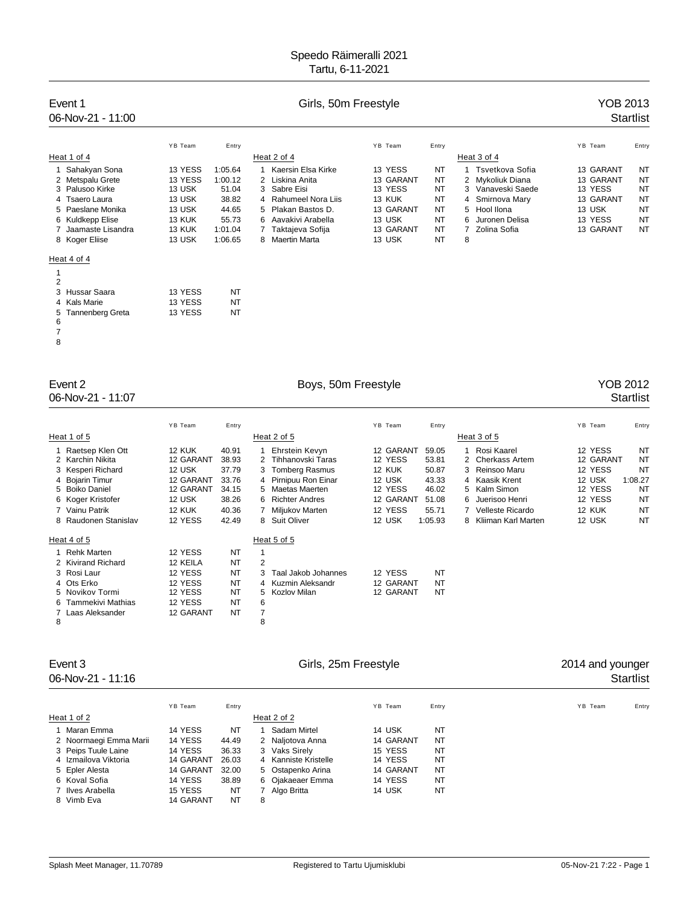# Event 1 Cirls, 50m Freestyle Company of the YOB 2013

# 06-Nov-21 - 11:00 Startlist

|   |                    | YB Team | Entry   |    |                      | YB Team   | Entry     |   |                   | YB Team   | Entry     |
|---|--------------------|---------|---------|----|----------------------|-----------|-----------|---|-------------------|-----------|-----------|
|   | Heat 1 of 4        |         |         |    | Heat 2 of 4          |           |           |   | Heat 3 of 4       |           |           |
|   | Sahakyan Sona      | 13 YESS | 1:05.64 |    | Kaersin Elsa Kirke   | 13 YESS   | NT        |   | Tsvetkova Sofia   | 13 GARANT | NT        |
|   | 2 Metspalu Grete   | 13 YESS | 1:00.12 |    | Liskina Anita        | 13 GARANT | NT        |   | 2 Mykoliuk Diana  | 13 GARANT | NT        |
|   | 3 Palusoo Kirke    | 13 USK  | 51.04   | 3  | Sabre Eisi           | 13 YESS   | NT        |   | 3 Vanaveski Saede | 13 YESS   | NT        |
|   | 4 Tsaero Laura     | 13 USK  | 38.82   |    | 4 Rahumeel Nora Liis | 13 KUK    | <b>NT</b> |   | 4 Smirnova Mary   | 13 GARANT | NT        |
|   | 5 Paeslane Monika  | 13 USK  | 44.65   | 5  | Plakan Bastos D.     | 13 GARANT | <b>NT</b> |   | 5 Hool Ilona      | 13 USK    | <b>NT</b> |
|   | 6 Kuldkepp Elise   | 13 KUK  | 55.73   | 6. | Aavakivi Arabella    | 13 USK    | NT        | 6 | Juronen Delisa    | 13 YESS   | <b>NT</b> |
|   | Jaamaste Lisandra  | 13 KUK  | 1:01.04 |    | Taktajeva Sofija     | 13 GARANT | NT        |   | Zolina Sofia      | 13 GARANT | <b>NT</b> |
|   | 8 Koger Eliise     | 13 USK  | 1:06.65 |    | 8 Maertin Marta      | 13 USK    | <b>NT</b> | 8 |                   |           |           |
|   | Heat 4 of 4        |         |         |    |                      |           |           |   |                   |           |           |
|   |                    |         |         |    |                      |           |           |   |                   |           |           |
| 2 |                    |         |         |    |                      |           |           |   |                   |           |           |
|   | 3 Hussar Saara     | 13 YESS | NT      |    |                      |           |           |   |                   |           |           |
|   | 4 Kals Marie       | 13 YESS | NT      |    |                      |           |           |   |                   |           |           |
|   | 5 Tannenberg Greta | 13 YESS | NT      |    |                      |           |           |   |                   |           |           |
| 6 |                    |         |         |    |                      |           |           |   |                   |           |           |
|   |                    |         |         |    |                      |           |           |   |                   |           |           |
| 8 |                    |         |         |    |                      |           |           |   |                   |           |           |

# 06-Nov-21 - 11:07

# Event 2 <br>
Boys, 50m Freestyle **Example 3012**<br>
O6-Nov-21 - 11:07 Startlist

|   |                                                                                                                                                                 | YB Team                                                                                | Entry                                                                |                                                                                                                                                                                    | YB Team<br>Entry                                                                                                                                                                                                                                                                                                                                  | YB Team<br>Entry                                                                                                                                                            |
|---|-----------------------------------------------------------------------------------------------------------------------------------------------------------------|----------------------------------------------------------------------------------------|----------------------------------------------------------------------|------------------------------------------------------------------------------------------------------------------------------------------------------------------------------------|---------------------------------------------------------------------------------------------------------------------------------------------------------------------------------------------------------------------------------------------------------------------------------------------------------------------------------------------------|-----------------------------------------------------------------------------------------------------------------------------------------------------------------------------|
|   | Heat 1 of 5                                                                                                                                                     |                                                                                        |                                                                      | Heat 2 of 5                                                                                                                                                                        | Heat 3 of 5                                                                                                                                                                                                                                                                                                                                       |                                                                                                                                                                             |
|   | 1 Raetsep Klen Ott<br>2 Karchin Nikita<br>3 Kesperi Richard<br>4 Bojarin Timur<br>5 Boiko Daniel<br>6 Koger Kristofer<br>7 Vainu Patrik<br>8 Raudonen Stanislav | 12 KUK<br>12 GARANT<br>12 USK<br>12 GARANT<br>12 GARANT<br>12 USK<br>12 KUK<br>12 YESS | 40.91<br>38.93<br>37.79<br>33.76<br>34.15<br>38.26<br>40.36<br>42.49 | Ehrstein Kevyn<br>Tihhanovski Taras<br>2<br>3 Tomberg Rasmus<br>Pirnipuu Ron Einar<br>4<br>Maetas Maerten<br>5.<br><b>Richter Andres</b><br>6.<br>Miljukov Marten<br>8 Suit Oliver | 12 GARANT<br>Rosi Kaarel<br>59.05<br>12 YESS<br>53.81<br><b>Cherkass Artem</b><br>2<br>12 KUK<br>50.87<br>Reinsoo Maru<br>3<br>12 USK<br>43.33<br>Kaasik Krent<br>4<br>12 YESS<br>46.02<br>Kalm Simon<br>5<br>12 GARANT<br>51.08<br>Juerisoo Henri<br>6.<br>12 YESS<br>55.71<br>Velleste Ricardo<br>12 USK<br>1:05.93<br>Kliiman Karl Marten<br>8 | 12 YESS<br><b>NT</b><br><b>NT</b><br>12 GARANT<br>12 YESS<br><b>NT</b><br>12 USK<br>1:08.27<br>12 YESS<br>NT<br>12 YESS<br>NT<br><b>NT</b><br>12 KUK<br><b>NT</b><br>12 USK |
|   | Heat 4 of 5                                                                                                                                                     |                                                                                        |                                                                      | Heat 5 of 5                                                                                                                                                                        |                                                                                                                                                                                                                                                                                                                                                   |                                                                                                                                                                             |
| 8 | 1 Rehk Marten<br>2 Kivirand Richard<br>3 Rosi Laur<br>4 Ots Erko<br>5 Novikov Tormi<br>6 Tammekivi Mathias<br>7 Laas Aleksander                                 | 12 YESS<br>12 KEILA<br>12 YESS<br>12 YESS<br>12 YESS<br>12 YESS<br>12 GARANT           | NT<br>NT<br>NT<br>NT<br>NT<br>NT<br>NT                               | 2<br>Taal Jakob Johannes<br>3<br>Kuzmin Aleksandr<br>4<br>Kozlov Milan<br>5<br>6<br>7<br>8                                                                                         | <b>NT</b><br>12 YESS<br>12 GARANT<br>NT<br>12 GARANT<br>NT                                                                                                                                                                                                                                                                                        |                                                                                                                                                                             |

06-Nov-21 - 11:16

# Event 3 Event 3 Girls, 25m Freestyle **Community 2014 and younger**<br>O6-Nov-21 - 11:16 Startlist

|                        | YB Team   | Entry |   |                      | YB Team   | Entry          | YB Team | Entry |
|------------------------|-----------|-------|---|----------------------|-----------|----------------|---------|-------|
| Heat 1 of 2            |           |       |   | Heat 2 of 2          |           |                |         |       |
| 1 Maran Emma           | 14 YESS   | NT    |   | Sadam Mirtel         | 14 USK    | N <sub>T</sub> |         |       |
| 2 Noormaegi Emma Marii | 14 YESS   | 44.49 |   | 2 Naljotova Anna     | 14 GARANT | NT             |         |       |
| 3 Peips Tuule Laine    | 14 YESS   | 36.33 |   | 3 Vaks Sirely        | 15 YESS   | NT             |         |       |
| 4 Izmailova Viktoria   | 14 GARANT | 26.03 |   | 4 Kanniste Kristelle | 14 YESS   | NT             |         |       |
| 5 Epler Alesta         | 14 GARANT | 32.00 |   | 5 Ostapenko Arina    | 14 GARANT | NT             |         |       |
| 6 Koval Sofia          | 14 YESS   | 38.89 |   | 6 Ojakaeaer Emma     | 14 YESS   | NT             |         |       |
| 7 Ilves Arabella       | 15 YESS   | NT    |   | Algo Britta          | 14 USK    | <b>NT</b>      |         |       |
| 8 Vimb Eva             | 14 GARANT | NT    | 8 |                      |           |                |         |       |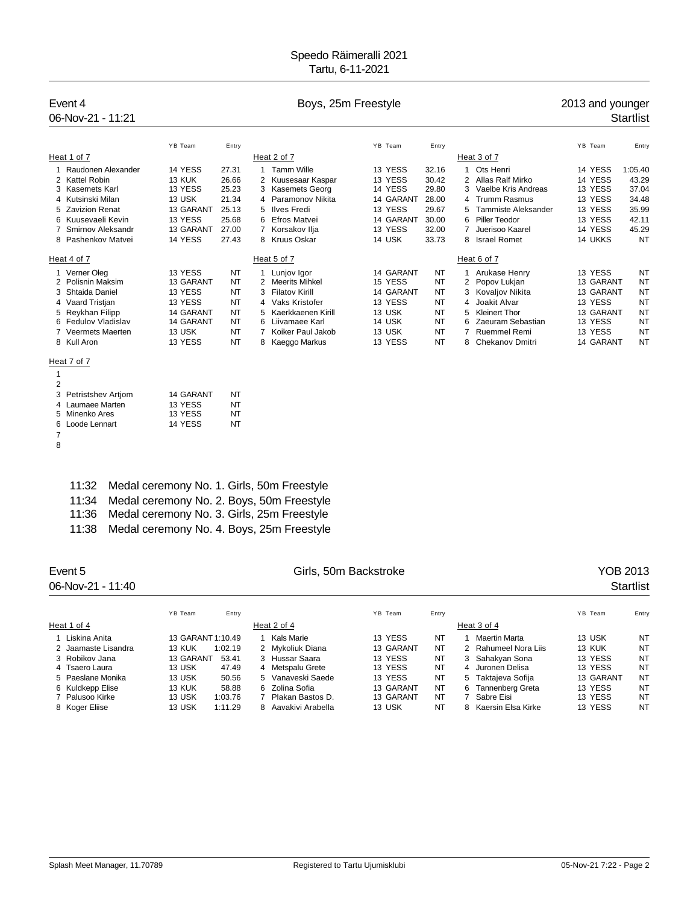# Event 4 **Boys**, 25m Freestyle **Example 2013** and younger 06-Nov-21 - 11:21 Startlist

|                     | YB Team       | Entry |                   |                    | YB Team   | Entry |                      |                            | YB Team   | Entry     |
|---------------------|---------------|-------|-------------------|--------------------|-----------|-------|----------------------|----------------------------|-----------|-----------|
| Heat 1 of 7         |               |       | Heat 2 of 7       |                    |           |       |                      | Heat 3 of 7                |           |           |
| Raudonen Alexander  | 14 YESS       | 27.31 | <b>Tamm Wille</b> |                    | 13 YESS   | 32.16 |                      | Ots Henri                  | 14 YESS   | 1:05.40   |
| 2 Kattel Robin      | <b>13 KUK</b> | 26.66 |                   | 2 Kuusesaar Kaspar | 13 YESS   | 30.42 |                      | Allas Ralf Mirko           | 14 YESS   | 43.29     |
| 3 Kasemets Karl     | 13 YESS       | 25.23 | 3                 | Kasemets Georg     | 14 YESS   | 29.80 |                      | 3 Vaelbe Kris Andreas      | 13 YESS   | 37.04     |
| 4 Kutsinski Milan   | 13 USK        | 21.34 |                   | 4 Paramonov Nikita | 14 GARANT | 28.00 |                      | 4 Trumm Rasmus             | 13 YESS   | 34.48     |
| 5 Zavizion Renat    | 13 GARANT     | 25.13 | 5 Ilves Fredi     |                    | 13 YESS   | 29.67 | 5.                   | <b>Tammiste Aleksander</b> | 13 YESS   | 35.99     |
| 6 Kuusevaeli Kevin  | 13 YESS       | 25.68 | 6 Efros Matvei    |                    | 14 GARANT | 30.00 |                      | 6 Piller Teodor            | 13 YESS   | 42.11     |
| Smirnov Aleksandr   | 13 GARANT     | 27.00 | Korsakov Ilja     |                    | 13 YESS   | 32.00 |                      | Juerisoo Kaarel            | 14 YESS   | 45.29     |
| 8 Pashenkov Matvei  | 14 YESS       | 27.43 | 8 Kruus Oskar     |                    | 14 USK    | 33.73 | 8                    | <b>Israel Romet</b>        | 14 UKKS   | <b>NT</b> |
| Heat 4 of 7         |               |       | Heat 5 of 7       |                    |           |       |                      | Heat 6 of 7                |           |           |
| 1 Verner Oleg       | 13 YESS       | NT    | Lunjov Igor       |                    | 14 GARANT | NT    |                      | Arukase Henry              | 13 YESS   | NT        |
| 2 Polisnin Maksim   | 13 GARANT     | NT    | 2 Meerits Mihkel  |                    | 15 YESS   | NT    | $\mathbf{2}^{\circ}$ | Popov Lukjan               | 13 GARANT | <b>NT</b> |
| 3 Shtaida Daniel    | 13 YESS       | NT    | 3 Filatov Kirill  |                    | 14 GARANT | NT    |                      | 3 Kovaljov Nikita          | 13 GARANT | <b>NT</b> |
| 4 Vaard Tristian    | 13 YESS       | NT    | 4 Vaks Kristofer  |                    | 13 YESS   | NT    |                      | 4 Joakit Alvar             | 13 YESS   | <b>NT</b> |
| 5 Reykhan Filipp    | 14 GARANT     | NT    |                   | Kaerkkaenen Kirill | 13 USK    | NT    | 5.                   | <b>Kleinert Thor</b>       | 13 GARANT | NT        |
| 6 Fedulov Vladislav | 14 GARANT     | NT    |                   | Liivamaee Karl     | 14 USK    | NT    | 6                    | Zaeuram Sebastian          | 13 YESS   | <b>NT</b> |
| 7 Veermets Maerten  | 13 USK        | NT    |                   | Koiker Paul Jakob  | 13 USK    | NT    |                      | <b>Ruemmel Remi</b>        | 13 YESS   | <b>NT</b> |
| 8 Kull Aron         | 13 YESS       | NT    | 8 Kaeggo Markus   |                    | 13 YESS   | NT    | 8                    | <b>Chekanov Dmitri</b>     | 14 GARANT | <b>NT</b> |
|                     |               |       |                   |                    |           |       |                      |                            |           |           |

### Heat 7 of 7

| 1 |                      |           |    |
|---|----------------------|-----------|----|
| 2 |                      |           |    |
|   | 3 Petristshev Artiom | 14 GARANT | NT |
|   | 4 Laumaee Marten     | 13 YESS   | NT |
|   | 5 Minenko Ares       | 13 YESS   | NT |
|   | 6 Loode Lennart      | 14 YESS   | NT |
|   |                      |           |    |

|  | 11:32 Medal ceremony No. 1. Girls, 50m Freestyle |  |  |  |  |  |
|--|--------------------------------------------------|--|--|--|--|--|
|--|--------------------------------------------------|--|--|--|--|--|

- 11:34 Medal ceremony No. 2. Boys, 50m Freestyle
- 11:36 Medal ceremony No. 3. Girls, 25m Freestyle
- 11:38 Medal ceremony No. 4. Boys, 25m Freestyle

| Event 5<br>06-Nov-21 - 11:40 |                   | Girls, 50m Backstroke |   |                   |  |           |       |    |                      | YOB 2013<br><b>Startlist</b> |           |       |
|------------------------------|-------------------|-----------------------|---|-------------------|--|-----------|-------|----|----------------------|------------------------------|-----------|-------|
|                              | YB Team           | Entry                 |   |                   |  | YB Team   | Entry |    |                      |                              | YB Team   | Entry |
| Heat 1 of 4                  |                   |                       |   | Heat 2 of 4       |  |           |       |    | Heat 3 of 4          |                              |           |       |
| 1 Liskina Anita              | 13 GARANT 1:10.49 |                       |   | Kals Marie        |  | 13 YESS   | NT    |    | <b>Maertin Marta</b> |                              | 13 USK    | NT    |
| 2 Jaamaste Lisandra          | 13 KUK            | 1:02.19               |   | 2 Mykoliuk Diana  |  | 13 GARANT | NT    |    | 2 Rahumeel Nora Liis |                              | 13 KUK    | NT    |
| 3 Robikov Jana               | 13 GARANT         | 53.41                 |   | 3 Hussar Saara    |  | 13 YESS   | NT    |    | 3 Sahakyan Sona      |                              | 13 YESS   | NT    |
| 4 Tsaero Laura               | 13 USK            | 47.49                 |   | 4 Metspalu Grete  |  | 13 YESS   | NT    |    | 4 Juronen Delisa     |                              | 13 YESS   | NT    |
| 5 Paeslane Monika            | 13 USK            | 50.56                 |   | 5 Vanaveski Saede |  | 13 YESS   | NT    |    | 5 Taktajeva Sofija   |                              | 13 GARANT | NT    |
| 6 Kuldkepp Elise             | 13 KUK            | 58.88                 |   | 6 Zolina Sofia    |  | 13 GARANT | NT    | 6. | Tannenberg Greta     |                              | 13 YESS   | NT    |
| 7 Palusoo Kirke              | 13 USK            | 1:03.76               |   | Plakan Bastos D.  |  | 13 GARANT | NT    |    | 7 Sabre Eisi         |                              | 13 YESS   | NT    |
| 8 Koger Elijse               | 13 USK            | 1:11.29               | 8 | Aavakivi Arabella |  | 13 USK    | NT    |    | 8 Kaersin Elsa Kirke |                              | 13 YESS   | NT    |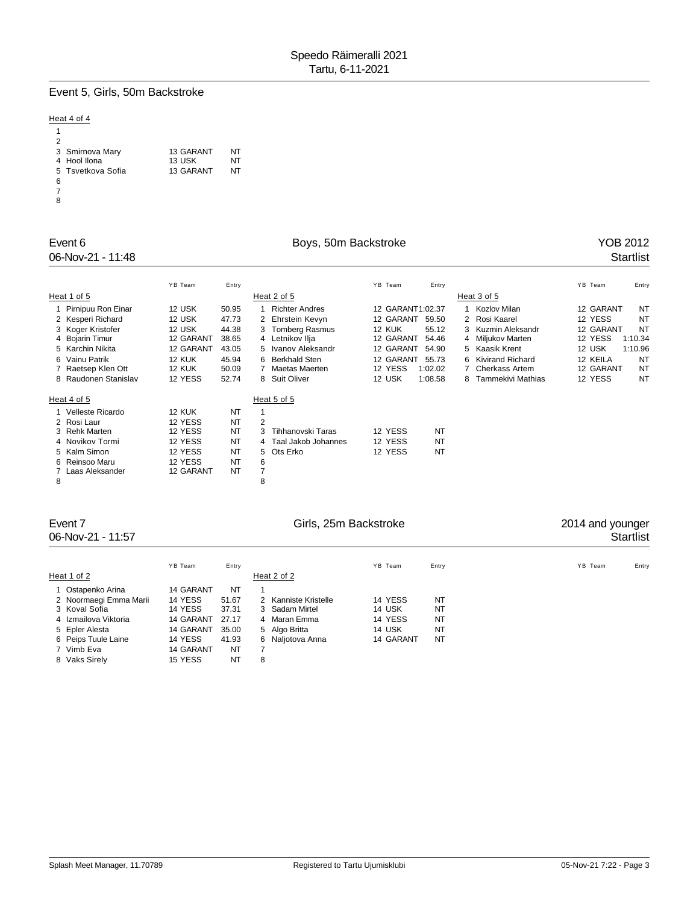# Event 5, Girls, 50m Backstroke

## Heat 4 of 4

| 2                 |           |    |
|-------------------|-----------|----|
| 3 Smirnova Mary   | 13 GARANT | NT |
| 4 Hool Ilona      | 13 USK    | NT |
| 5 Tsvetkova Sofia | 13 GARANT | NT |
| 6                 |           |    |
|                   |           |    |
| $\sim$            |           |    |

# Event 6 **Boys**, 50m Backstroke **Boys**, 50m Backstroke **Property** 1988 2012

# 06-Nov-21 - 11:48 Startlist

|   |                      | YB Team       | Entry |                           | YB Team<br>Entry                             | YB Team<br>Entry       |
|---|----------------------|---------------|-------|---------------------------|----------------------------------------------|------------------------|
|   | Heat 1 of 5          |               |       | Heat 2 of 5               | Heat 3 of 5                                  |                        |
|   | Pirnipuu Ron Einar   | 12 USK        | 50.95 | <b>Richter Andres</b>     | 12 GARANT1:02.37<br>Kozlov Milan             | 12 GARANT<br><b>NT</b> |
|   | 2 Kesperi Richard    | 12 USK        | 47.73 | 2 Ehrstein Kevyn          | 2 Rosi Kaarel<br>12 GARANT<br>59.50          | 12 YESS<br>NT          |
|   | 3 Koger Kristofer    | 12 USK        | 44.38 | 3 Tomberg Rasmus          | 12 KUK<br>55.12<br>3 Kuzmin Aleksandr        | NT<br>12 GARANT        |
|   | 4 Bojarin Timur      | 12 GARANT     | 38.65 | 4 Letnikov Ilja           | 12 GARANT<br>54.46<br>4 Miljukov Marten      | 12 YESS<br>1:10.34     |
|   | 5 Karchin Nikita     | 12 GARANT     | 43.05 | Ivanov Aleksandr          | 12 GARANT<br>54.90<br>5 Kaasik Krent         | 12 USK<br>1:10.96      |
|   | 6 Vainu Patrik       | <b>12 KUK</b> | 45.94 | <b>Berkhald Sten</b><br>6 | 12 GARANT<br>55.73<br>Kivirand Richard<br>6. | 12 KEILA<br>NT         |
|   | 7 Raetsep Klen Ott   | <b>12 KUK</b> | 50.09 | Maetas Maerten            | 12 YESS<br>1:02.02<br><b>Cherkass Artem</b>  | 12 GARANT<br>NT        |
|   | 8 Raudonen Stanislav | 12 YESS       | 52.74 | 8 Suit Oliver             | 12 USK<br>1:08.58<br>Tammekivi Mathias<br>8  | 12 YESS<br>NT          |
|   | Heat 4 of 5          |               |       | Heat 5 of 5               |                                              |                        |
|   | Velleste Ricardo     | 12 KUK        | NT    |                           |                                              |                        |
|   | 2 Rosi Laur          | 12 YESS       | NT    | 2                         |                                              |                        |
|   | 3 Rehk Marten        | 12 YESS       | NT    | Tihhanovski Taras<br>3    | 12 YESS<br><b>NT</b>                         |                        |
|   | 4 Novikov Tormi      | 12 YESS       | NT    | 4 Taal Jakob Johannes     | 12 YESS<br>NT                                |                        |
|   | 5 Kalm Simon         | 12 YESS       | NT    | 5 Ots Erko                | 12 YESS<br>NT                                |                        |
|   | 6 Reinsoo Maru       | 12 YESS       | NT    | 6                         |                                              |                        |
|   | Laas Aleksander      | 12 GARANT     | NT    | $\overline{7}$            |                                              |                        |
| 8 |                      |               |       | 8                         |                                              |                        |

# Event 7 Girls, 25m Backstroke

# 06-Nov-21 - 11:57 Startlist

|                        | YB Team   | Entry |   |                      | YB Team   | Entry     | YB Team | Entry |
|------------------------|-----------|-------|---|----------------------|-----------|-----------|---------|-------|
| Heat 1 of 2            |           |       |   | Heat 2 of 2          |           |           |         |       |
| 1 Ostapenko Arina      | 14 GARANT | NT    |   |                      |           |           |         |       |
| 2 Noormaegi Emma Marii | 14 YESS   | 51.67 |   | 2 Kanniste Kristelle | 14 YESS   | NT        |         |       |
| 3 Koval Sofia          | 14 YESS   | 37.31 |   | 3 Sadam Mirtel       | 14 USK    | NT        |         |       |
| 4 Izmailova Viktoria   | 14 GARANT | 27.17 |   | 4 Maran Emma         | 14 YESS   | NT        |         |       |
| 5 Epler Alesta         | 14 GARANT | 35.00 |   | 5 Algo Britta        | 14 USK    | <b>NT</b> |         |       |
| 6 Peips Tuule Laine    | 14 YESS   | 41.93 |   | 6 Naliotova Anna     | 14 GARANT | NT        |         |       |
| 7 Vimb Eva             | 14 GARANT | NT    |   |                      |           |           |         |       |
| 8 Vaks Sirely          | 15 YESS   | NT    | 8 |                      |           |           |         |       |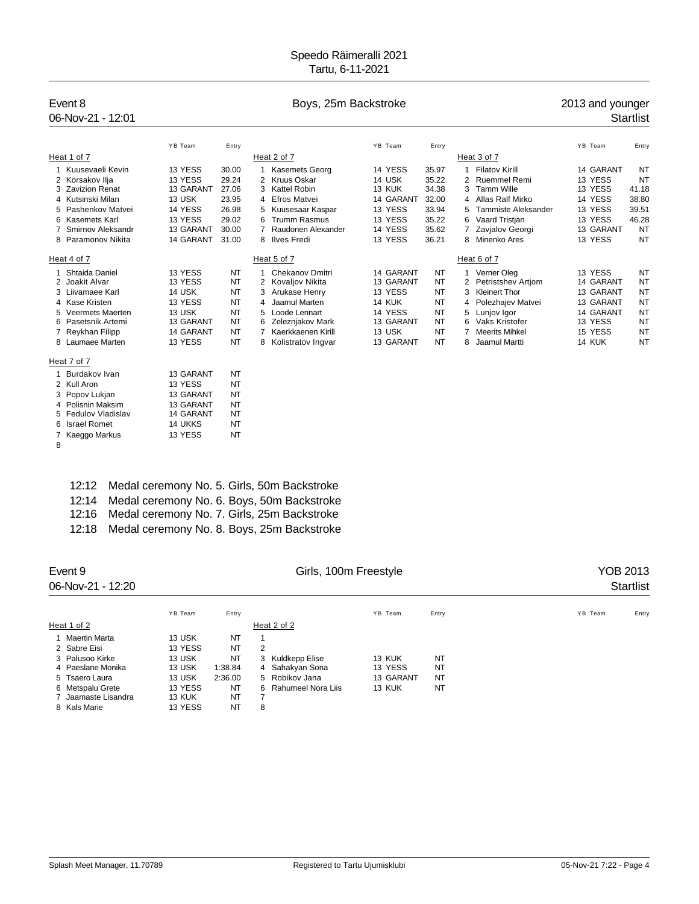# Event 8 **Boys**, 25m Backstroke **Boys**, 25m Backstroke 2013 and younger

# 06-Nov-21 - 12:01 Startlist

|                    | YB Team   | Entry     |    |                     | YB Team       | Entry |    |                       | YB Team       | Entry     |
|--------------------|-----------|-----------|----|---------------------|---------------|-------|----|-----------------------|---------------|-----------|
| Heat 1 of 7        |           |           |    | Heat 2 of 7         |               |       |    | Heat 3 of 7           |               |           |
| 1 Kuusevaeli Kevin | 13 YESS   | 30.00     |    | Kasemets Georg      | 14 YESS       | 35.97 |    | <b>Filatov Kirill</b> | 14 GARANT     | NT        |
| 2 Korsakov Ilja    | 13 YESS   | 29.24     |    | 2 Kruus Oskar       | 14 USK        | 35.22 |    | Ruemmel Remi          | 13 YESS       | NT        |
| 3 Zavizion Renat   | 13 GARANT | 27.06     |    | 3 Kattel Robin      | 13 KUK        | 34.38 | 3  | <b>Tamm Wille</b>     | 13 YESS       | 41.18     |
| 4 Kutsinski Milan  | 13 USK    | 23.95     |    | 4 Efros Matvei      | 14 GARANT     | 32.00 |    | 4 Allas Ralf Mirko    | 14 YESS       | 38.80     |
| 5 Pashenkov Matvei | 14 YESS   | 26.98     |    | 5 Kuusesaar Kaspar  | 13 YESS       | 33.94 | 5. | Tammiste Aleksander   | 13 YESS       | 39.51     |
| 6 Kasemets Karl    | 13 YESS   | 29.02     | 6  | <b>Trumm Rasmus</b> | 13 YESS       | 35.22 | 6. | Vaard Tristjan        | 13 YESS       | 46.28     |
| Smirnov Aleksandr  | 13 GARANT | 30.00     |    | Raudonen Alexander  | 14 YESS       | 35.62 |    | 7 Zavialov Georgi     | 13 GARANT     | <b>NT</b> |
| 8 Paramonov Nikita | 14 GARANT | 31.00     |    | 8 Ilves Fredi       | 13 YESS       | 36.21 | 8  | Minenko Ares          | 13 YESS       | <b>NT</b> |
| Heat 4 of 7        |           |           |    | Heat 5 of 7         |               |       |    | Heat 6 of 7           |               |           |
| Shtaida Daniel     | 13 YESS   | NT        |    | Chekanov Dmitri     | 14 GARANT     | NT    |    | Verner Oleg           | 13 YESS       | NT        |
| 2 Joakit Alvar     | 13 YESS   | NT        |    | 2 Kovaljov Nikita   | 13 GARANT     | NT    | 2  | Petristshev Artiom    | 14 GARANT     | <b>NT</b> |
| 3 Liivamaee Karl   | 14 USK    | NT        |    | 3 Arukase Henry     | 13 YESS       | NT    | 3  | Kleinert Thor         | 13 GARANT     | <b>NT</b> |
| 4 Kase Kristen     | 13 YESS   | NT        | 4  | Jaamul Marten       | <b>14 KUK</b> | NT    |    | 4 Polezhajev Matvei   | 13 GARANT     | <b>NT</b> |
| 5 Veermets Maerten | 13 USK    | NT        | 5. | Loode Lennart       | 14 YESS       | NT    | 5. | Lunjov Igor           | 14 GARANT     | <b>NT</b> |
| 6 Pasetsnik Artemi | 13 GARANT | NT        | 6. | Zeleznjakov Mark    | 13 GARANT     | NT    | 6  | Vaks Kristofer        | 13 YESS       | <b>NT</b> |
| 7 Reykhan Filipp   | 14 GARANT | NT        |    | Kaerkkaenen Kirill  | 13 USK        | NT    |    | <b>Meerits Mihkel</b> | 15 YESS       | <b>NT</b> |
| 8 Laumaee Marten   | 13 YESS   | NT        | 8. | Kolistratov Ingvar  | 13 GARANT     | NT    | 8  | Jaamul Martti         | <b>14 KUK</b> | <b>NT</b> |
| Heat 7 of 7        |           |           |    |                     |               |       |    |                       |               |           |
| Burdakov Ivan      | 13 GARANT | <b>NT</b> |    |                     |               |       |    |                       |               |           |

12:12 Medal ceremony No. 5. Girls, 50m Backstroke

2 Kull Aron 13 YESS NT<br>3 Popov Lukjan 13 GARANT NT 3 Popov Lukjan 13 GARANT NT<br>4 Polisnin Maksim 13 GARANT NT 4 Polisnin Maksim 13 GARANT NT<br>5 Fedulov Vladislav 14 GARANT NT

6 Israel Romet 14 UKKS NT<br>7 Kaeggo Markus 13 YESS NT

5 Fedulov Vladislav

7 Kaeggo Markus

8

- 12:14 Medal ceremony No. 6. Boys, 50m Backstroke
- 12:16 Medal ceremony No. 7. Girls, 25m Backstroke
- 12:18 Medal ceremony No. 8. Boys, 25m Backstroke

| Event 9<br>06-Nov-21 - 12:20 |               |         |   | Girls, 100m Freestyle |           |           | YOB 2013<br><b>Startlist</b> |
|------------------------------|---------------|---------|---|-----------------------|-----------|-----------|------------------------------|
|                              | YB Team       | Entry   |   |                       | YB Team   | Entry     | YB Team<br>Entry             |
| Heat 1 of 2                  |               |         |   | Heat 2 of 2           |           |           |                              |
| 1 Maertin Marta              | 13 USK        | NT      |   |                       |           |           |                              |
| 2 Sabre Eisi                 | 13 YESS       | NT      | 2 |                       |           |           |                              |
| 3 Palusoo Kirke              | 13 USK        | NT      | 3 | Kuldkepp Elise        | 13 KUK    | NT        |                              |
| 4 Paeslane Monika            | 13 USK        | 1:38.84 |   | 4 Sahakyan Sona       | 13 YESS   | <b>NT</b> |                              |
| 5 Tsaero Laura               | 13 USK        | 2:36.00 |   | 5 Robikov Jana        | 13 GARANT | NT        |                              |
| 6 Metspalu Grete             | 13 YESS       | NT      | 6 | Rahumeel Nora Liis    | 13 KUK    | <b>NT</b> |                              |
| 7 Jaamaste Lisandra          | <b>13 KUK</b> | NT      |   |                       |           |           |                              |
| 8 Kals Marie                 | 13 YESS       | NT      | 8 |                       |           |           |                              |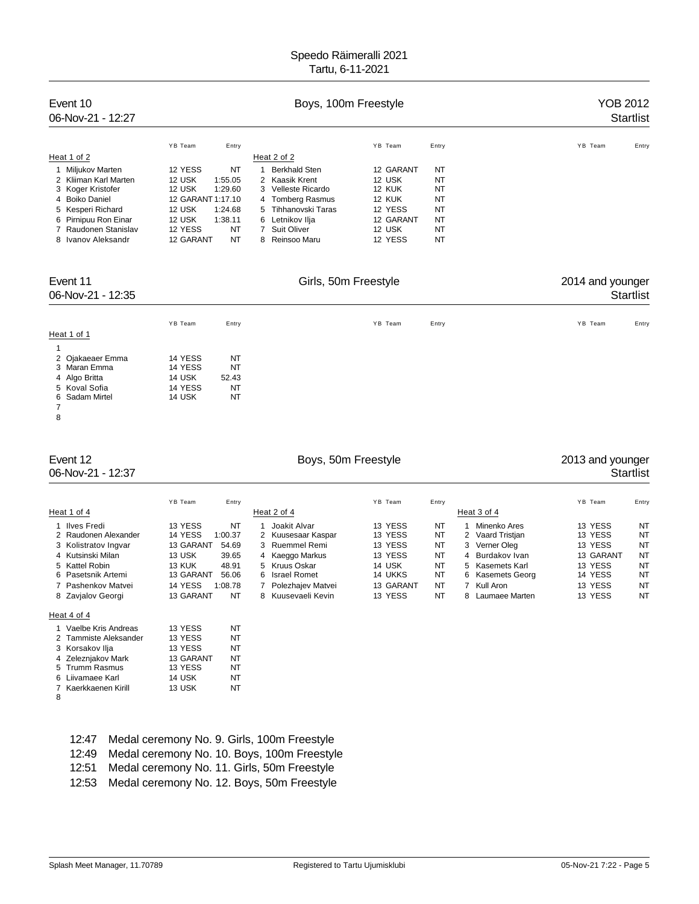| Event 10<br>06-Nov-21 - 12:27 |                   |         | YOB 2012             | <b>Startlist</b> |           |         |       |
|-------------------------------|-------------------|---------|----------------------|------------------|-----------|---------|-------|
|                               | YB Team           | Entry   |                      | YB Team          | Entry     | YB Team | Entry |
| Heat 1 of 2                   |                   |         | Heat 2 of 2          |                  |           |         |       |
| Miljukov Marten               | 12 YESS           | NT      | <b>Berkhald Sten</b> | 12 GARANT        | NT        |         |       |
| 2 Kliiman Karl Marten         | 12 USK            | 1:55.05 | 2 Kaasik Krent       | 12 USK           | NT        |         |       |
| 3 Koger Kristofer             | 12 USK            | 1:29.60 | 3 Velleste Ricardo   | 12 KUK           | NT        |         |       |
| 4 Boiko Daniel                | 12 GARANT 1:17.10 |         | 4 Tomberg Rasmus     | 12 KUK           | NT        |         |       |
| 5 Kesperi Richard             | 12 USK            | 1:24.68 | 5 Tihhanovski Taras  | 12 YESS          | <b>NT</b> |         |       |
| 6 Pirnipuu Ron Einar          | 12 USK            | 1:38.11 | 6 Letnikov Ilja      | 12 GARANT        | NT        |         |       |
| 7 Raudonen Stanislav          | 12 YESS           | NT      | 7 Suit Oliver        | 12 USK           | NT        |         |       |
| 8 Ivanov Aleksandr            | 12 GARANT         | NT      | 8 Reinsoo Maru       | 12 YESS          | <b>NT</b> |         |       |

Event 11 Girls, 50m Freestyle 2014 and younger 06-Nov-21 - 12:35 Startlist YB Team Entry Entry Entry The YB Team Entry State of the State of the State of the State of the State of the S Heat 1 of 1 1 2 Ojakaeaer Emma 14 YESS NT 3 Maran Emma 14 YESS NT 4 Algo Britta 14 USK 52.43<br>5 Koval Sofia 14 YESS NT 5 Koval Sofia 14 YESS NT<br>6 Sadam Mirtel 14 USK NT 6 Sadam Mirtel 7

8

# Event 12 **Event 12** Boys, 50m Freestyle **Event 12** 2013 and younger 06-Nov-21 - 12:37 Startlist

|                                       | YB Team<br>Entry                      |                                    | YB Team<br>Entry                                                                   | YB Team            | Entry           |
|---------------------------------------|---------------------------------------|------------------------------------|------------------------------------------------------------------------------------|--------------------|-----------------|
| Heat 1 of 4                           |                                       | Heat 2 of 4                        | Heat 3 of 4                                                                        |                    |                 |
| 1 Ilves Fredi<br>2 Raudonen Alexander | 13 YESS<br>NT<br>14 YESS<br>1:00.37   | Joakit Alvar<br>2 Kuusesaar Kaspar | 13 YESS<br>NT<br>Minenko Ares<br>13 YESS<br>NT<br>2 Vaard Tristian                 | 13 YESS<br>13 YESS | NT<br>NT        |
| 3 Kolistratov Ingvar                  | 13 GARANT<br>54.69                    | 3 Ruemmel Remi                     | 13 YESS<br>NT<br>3 Verner Oleg                                                     | 13 YESS            | NT              |
| 4 Kutsinski Milan                     | 13 USK<br>39.65                       | Kaeggo Markus<br>$\overline{4}$    | 13 YESS<br>NT<br>4 Burdakov Ivan                                                   | 13 GARANT          | NT              |
| 5 Kattel Robin<br>6 Pasetsnik Artemi  | 13 KUK<br>48.91<br>13 GARANT<br>56.06 | 5 Kruus Oskar<br>6 Israel Romet    | <b>NT</b><br>14 USK<br>5 Kasemets Karl<br><b>NT</b><br>14 UKKS<br>6 Kasemets Georg | 13 YESS<br>14 YESS | <b>NT</b><br>NT |
| 7 Pashenkov Matvei                    | 14 YESS<br>1:08.78                    | Polezhajev Matvei                  | 13 GARANT<br>NT<br>Kull Aron                                                       | 13 YESS            | NT              |
| 8 Zavialov Georgi                     | 13 GARANT<br>NT                       | Kuusevaeli Kevin<br>8              | 13 YESS<br>NT<br>8 Laumaee Marten                                                  | 13 YESS            | <b>NT</b>       |

### Heat 4 of 4

|   | 1 Vaelbe Kris Andreas | 13 YESS   | ΝТ |
|---|-----------------------|-----------|----|
|   | 2 Tammiste Aleksander | 13 YESS   | NΤ |
|   | 3 Korsakov Ilja       | 13 YESS   | NT |
|   | 4 Zeleznjakov Mark    | 13 GARANT | NT |
|   | 5 Trumm Rasmus        | 13 YESS   | NT |
|   | 6 Liivamaee Karl      | 14 USK    | NT |
|   | 7 Kaerkkaenen Kirill  | 13 USK    | NT |
| 8 |                       |           |    |

| 12:47 | Medal ceremony No. 9. Girls, 100m Freestyle       |
|-------|---------------------------------------------------|
|       | 12:49 Medal ceremony No. 10. Boys, 100m Freestyle |
|       | 12:51 Medal ceremony No. 11. Girls, 50m Freestyle |

12:53 Medal ceremony No. 12. Boys, 50m Freestyle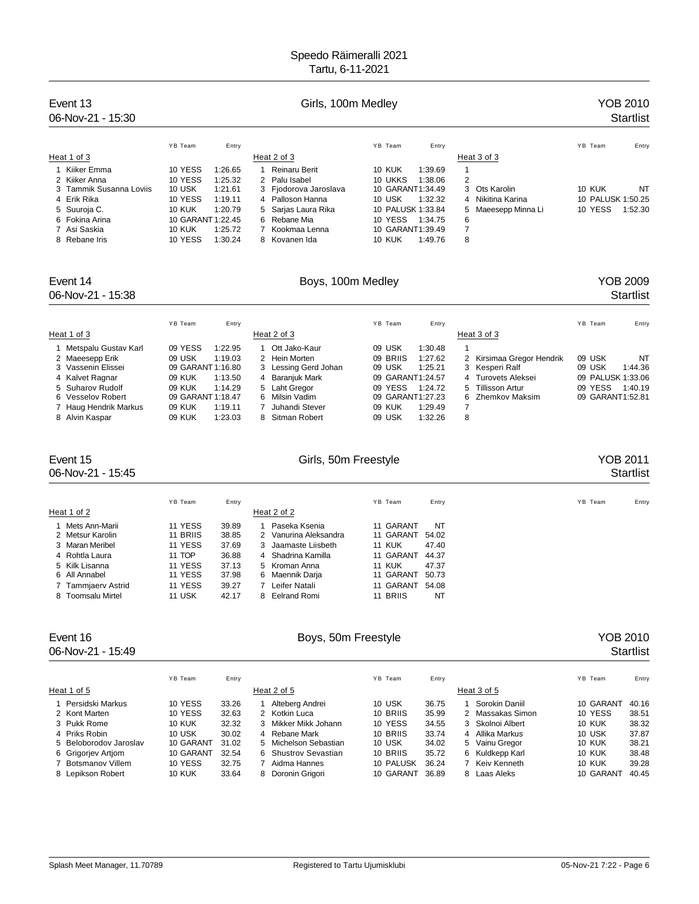| Event 13<br>$06$ -Nov-21 - 15:30 |                   |         | Girls, 100m Medley    |                          |                     | YOB 2010<br><b>Startlist</b> |  |  |
|----------------------------------|-------------------|---------|-----------------------|--------------------------|---------------------|------------------------------|--|--|
|                                  | YB Team           | Entry   |                       | YB Team<br>Entry         |                     | YB Team<br>Entry             |  |  |
| Heat 1 of 3                      |                   |         | Heat 2 of 3           |                          | Heat 3 of 3         |                              |  |  |
| 1 Kiiker Emma                    | 10 YESS           | 1:26.65 | Reinaru Berit         | <b>10 KUK</b><br>1:39.69 |                     |                              |  |  |
| 2 Kiiker Anna                    | 10 YESS           | 1:25.32 | 2 Palu Isabel         | 10 UKKS<br>1:38.06       | 2                   |                              |  |  |
| 3 Tammik Susanna Loviis          | 10 USK            | 1:21.61 | 3 Fjodorova Jaroslava | 10 GARANT1:34.49         | 3 Ots Karolin       | 10 KUK<br>NT                 |  |  |
| 4 Erik Rika                      | 10 YESS           | 1:19.11 | 4 Palloson Hanna      | 10 USK<br>1:32.32        | 4 Nikitina Karina   | 10 PALUSK 1:50.25            |  |  |
| 5 Suuroja C.                     | <b>10 KUK</b>     | 1:20.79 | 5 Sarjas Laura Rika   | 10 PALUSK 1:33.84        | 5 Maeesepp Minna Li | 10 YESS<br>1:52.30           |  |  |
| 6 Fokina Arina                   | 10 GARANT 1:22.45 |         | 6 Rebane Mia          | 10 YESS<br>1:34.75       | 6                   |                              |  |  |
| 7 Asi Saskia                     | <b>10 KUK</b>     | 1:25.72 | 7 Kookmaa Lenna       | 10 GARANT1:39.49         |                     |                              |  |  |
| 8 Rebane Iris                    | 10 YESS           | 1:30.24 | 8 Kovanen Ida         | <b>10 KUK</b><br>1:49.76 | 8                   |                              |  |  |

## Event 14 **Exercit 14** Boys, 100m Medley **Boys, 100m Medley** Startlist<br>
University of the Startlist<br>
Boys, 100m Medley **Startlist**<br>
Startlist 06-Nov-21 - 15:38

|                        | YB Team           | Entry   |                      | YB Team<br>Entry    |                           | YB Team           | Entry   |
|------------------------|-------------------|---------|----------------------|---------------------|---------------------------|-------------------|---------|
| Heat 1 of 3            |                   |         | Heat 2 of 3          |                     | Heat 3 of 3               |                   |         |
| 1 Metspalu Gustav Karl | 09 YESS           | 1:22.95 | Ott Jako-Kaur        | 09 USK<br>1:30.48   |                           |                   |         |
| 2 Maeesepp Erik        | 09 USK            | 1:19.03 | 2 Hein Morten        | 09 BRIIS<br>1:27.62 | 2 Kirsimaa Gregor Hendrik | 09 USK            | NT      |
| 3 Vassenin Elissei     | 09 GARANT 1:16.80 |         | 3 Lessing Gerd Johan | 09 USK<br>1:25.21   | 3 Kesperi Ralf            | 09 USK            | 1:44.36 |
| 4 Kalvet Ragnar        | 09 KUK            | 1:13.50 | 4 Baranjuk Mark      | 09 GARANT1:24.57    | 4 Turovets Aleksei        | 09 PALUSK 1:33.06 |         |
| 5 Suharov Rudolf       | 09 KUK            | 1:14.29 | 5 Laht Gregor        | 09 YESS<br>1:24.72  | 5 Tillisson Artur         | 09 YESS           | 1:40.19 |
| 6 Vesselov Robert      | 09 GARANT 1:18.47 |         | 6 Milsin Vadim       | 09 GARANT1:27.23    | 6 Zhemkov Maksim          | 09 GARANT1:52.81  |         |
| 7 Haug Hendrik Markus  | 09 KUK            | 1:19.11 | Juhandi Stever       | 09 KUK<br>1:29.49   |                           |                   |         |
| 8 Alvin Kaspar         | 09 KUK            | 1:23.03 | 8 Sitman Robert      | 09 USK<br>1:32.26   | 8                         |                   |         |

06-Nov-21 - 15:45

# Event 15 Form of the Control of Girls, 50m Freestyle Free States of the Startlist Control of the States of the States of the States of the States of the States of the States of the States of the States of the States of the

|  |  | ∙artlı⊱ |  |
|--|--|---------|--|
|  |  |         |  |

|                    | YB Team       | Entry |                       | YB Team       | Entry | YB Team | Entry |
|--------------------|---------------|-------|-----------------------|---------------|-------|---------|-------|
| Heat 1 of 2        |               |       | Heat 2 of 2           |               |       |         |       |
| 1 Mets Ann-Marii   | 11 YESS       | 39.89 | Paseka Ksenia         | 11 GARANT     | NT    |         |       |
| 2 Metsur Karolin   | 11 BRIIS      | 38.85 | 2 Vanurina Aleksandra | 11 GARANT     | 54.02 |         |       |
| 3 Maran Meribel    | 11 YESS       | 37.69 | 3 Jaamaste Liisbeth   | <b>11 KUK</b> | 47.40 |         |       |
| 4 Rohtla Laura     | 11 TOP        | 36.88 | 4 Shadrina Kamilla    | 11 GARANT     | 44.37 |         |       |
| 5 Kilk Lisanna     | 11 YESS       | 37.13 | 5 Kroman Anna         | <b>11 KUK</b> | 47.37 |         |       |
| 6 All Annabel      | 11 YESS       | 37.98 | Maennik Darja<br>6    | 11 GARANT     | 50.73 |         |       |
| 7 Tammjaerv Astrid | 11 YESS       | 39.27 | Leifer Natali         | 11 GARANT     | 54.08 |         |       |
| 8 Toomsalu Mirtel  | <b>11 USK</b> | 42.17 | Eelrand Romi<br>8     | 11 BRIIS      | NT    |         |       |
|                    |               |       |                       |               |       |         |       |

06-Nov-21 - 15:49 Startlist

# Event 16 Company of the Boys, 50m Freestyle Company of the YOB 2010

|                        | YB Team       | Entry |   |                       | YB Team   | Entry |                  | YB Team       | Entry |
|------------------------|---------------|-------|---|-----------------------|-----------|-------|------------------|---------------|-------|
| Heat 1 of 5            |               |       |   | Heat 2 of 5           |           |       | Heat 3 of 5      |               |       |
| Persidski Markus       | 10 YESS       | 33.26 |   | Alteberg Andrei       | 10 USK    | 36.75 | Sorokin Daniil   | 10 GARANT     | 40.16 |
| 2 Kont Marten          | 10 YESS       | 32.63 |   | 2 Kotkin Luca         | 10 BRIIS  | 35.99 | 2 Massakas Simon | 10 YESS       | 38.51 |
| 3 Pukk Rome            | <b>10 KUK</b> | 32.32 |   | Mikker Mikk Johann    | 10 YESS   | 34.55 | 3 Skolnoi Albert | 10 KUK        | 38.32 |
| 4 Priks Robin          | 10 USK        | 30.02 | 4 | Rebane Mark           | 10 BRIIS  | 33.74 | 4 Allika Markus  | 10 USK        | 37.87 |
| 5 Beloborodov Jaroslav | 10 GARANT     | 31.02 |   | 5 Michelson Sebastian | 10 USK    | 34.02 | 5 Vainu Gregor   | <b>10 KUK</b> | 38.21 |
| 6 Grigoriev Artiom     | 10 GARANT     | 32.54 |   | 6 Shustrov Sevastian  | 10 BRIIS  | 35.72 | 6 Kuldkepp Karl  | 10 KUK        | 38.48 |
| 7 Botsmanov Villem     | 10 YESS       | 32.75 |   | Aidma Hannes          | 10 PALUSK | 36.24 | 7 Keiv Kenneth   | 10 KUK        | 39.28 |
| 8 Lepikson Robert      | <b>10 KUK</b> | 33.64 | 8 | Doronin Grigori       | 10 GARANT | 36.89 | 8 Laas Aleks     | 10 GARANT     | 40.45 |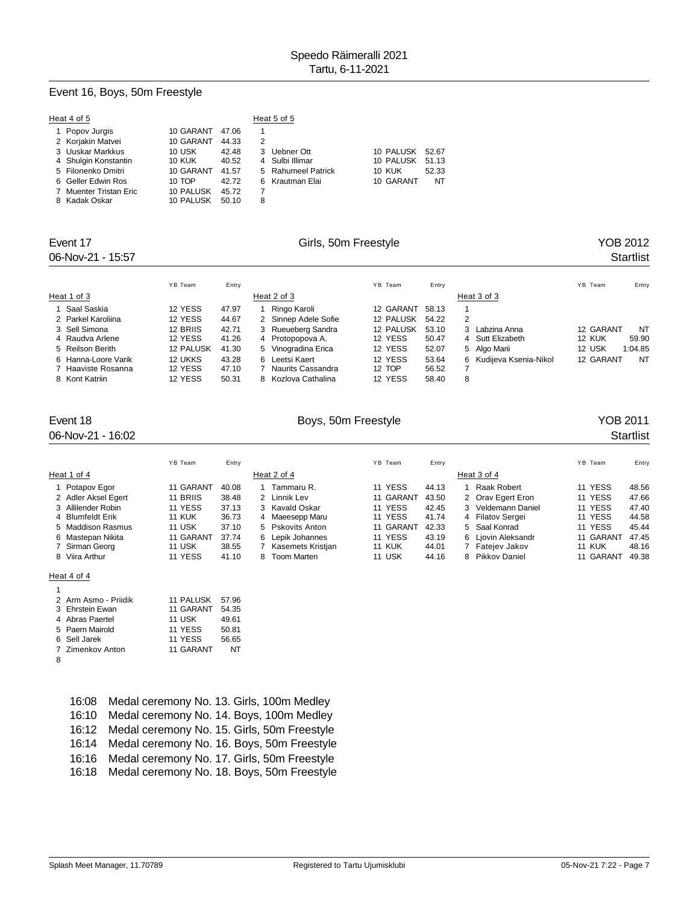# Event 16, Boys, 50m Freestyle

| Heat 4 of 5            |               |       | Heat 5 of 5                  |       |
|------------------------|---------------|-------|------------------------------|-------|
| 1 Popov Jurgis         | 10 GARANT     | 47.06 |                              |       |
| 2 Korjakin Matvei      | 10 GARANT     | 44.33 | 2                            |       |
| 3 Uuskar Markkus       | 10 USK        | 42.48 | 3 Uebner Ott<br>10 PALUSK    | 52.67 |
| 4 Shulgin Konstantin   | <b>10 KUK</b> | 40.52 | 10 PALUSK<br>4 Sulbi Illimar | 51.13 |
| 5 Filonenko Dmitri     | 10 GARANT     | 41.57 | 5 Rahumeel Patrick<br>10 KUK | 52.33 |
| 6 Geller Edwin Ros     | 10 TOP        | 42.72 | 10 GARANT<br>6 Krautman Elai | NT    |
| 7 Muenter Tristan Eric | 10 PALUSK     | 45.72 |                              |       |
| 8 Kadak Oskar          | 10 PALUSK     | 50.10 | 8                            |       |

# 06-Nov-21 - 15:57 Startlist

# Event 17 Cirls, 50m Freestyle Communication of the YOB 2012

|                     | YB Team          | Entry |   |                      | YB Team   | Entry |                         | YB Team<br>Entry  |
|---------------------|------------------|-------|---|----------------------|-----------|-------|-------------------------|-------------------|
| Heat 1 of 3         |                  |       |   | Heat 2 of 3          |           |       | Heat 3 of 3             |                   |
| Saal Saskia         | 12 YESS          | 47.97 |   | Ringo Karoli         | 12 GARANT | 58.13 |                         |                   |
| 2 Parkel Karoliina  | 12 YESS          | 44.67 |   | 2 Sinnep Adele Sofie | 12 PALUSK | 54.22 | 2                       |                   |
| 3 Sell Simona       | 12 BRIIS         | 42.71 |   | 3 Rueueberg Sandra   | 12 PALUSK | 53.10 | 3 Labzina Anna          | NT<br>12 GARANT   |
| 4 Raudva Arlene     | 12 YESS          | 41.26 |   | 4 Protopopova A.     | 12 YESS   | 50.47 | 4 Sutt Elizabeth        | 12 KUK<br>59.90   |
| 5 Reilson Berith    | <b>12 PALUSK</b> | 41.30 |   | 5 Vinogradina Erica  | 12 YESS   | 52.07 | 5 Algo Marii            | 12 USK<br>1:04.85 |
| 6 Hanna-Loore Varik | 12 UKKS          | 43.28 |   | 6 Leetsi Kaert       | 12 YESS   | 53.64 | 6 Kudijeva Ksenia-Nikol | 12 GARANT<br>NT   |
| 7 Haaviste Rosanna  | 12 YESS          | 47.10 |   | Naurits Cassandra    | 12 TOP    | 56.52 |                         |                   |
| 8 Kont Katriin      | 12 YESS          | 50.31 | 8 | Kozlova Cathalina    | 12 YESS   | 58.40 | 8                       |                   |

## 06-Nov-21 - 16:02 Startlist

# Event 18 Communication of the Boys, 50m Freestyle Communication of the YOB 2011

|                     | YB Team       | Entry |   |                    | YB Team       | Entry |                    | YB Team       | Entry |
|---------------------|---------------|-------|---|--------------------|---------------|-------|--------------------|---------------|-------|
| Heat 1 of 4         |               |       |   | Heat 2 of 4        |               |       | Heat 3 of 4        |               |       |
| 1 Potapov Egor      | 11 GARANT     | 40.08 |   | Tammaru R.         | 11 YESS       | 44.13 | Raak Robert        | 11 YESS       | 48.56 |
| 2 Adler Aksel Egert | 11 BRIIS      | 38.48 |   | 2 Linnik Lev       | 11 GARANT     | 43.50 | 2 Orav Egert Eron  | 11 YESS       | 47.66 |
| 3 Allilender Robin  | 11 YESS       | 37.13 |   | 3 Kavald Oskar     | 11 YESS       | 42.45 | 3 Veldemann Daniel | 11 YESS       | 47.40 |
| 4 Blumfeldt Erik    | <b>11 KUK</b> | 36.73 | 4 | Maeesepp Maru      | 11 YESS       | 41.74 | 4 Filatov Sergei   | 11 YESS       | 44.58 |
| 5 Maddison Rasmus   | <b>11 USK</b> | 37.10 |   | 5 Pskovits Anton   | 11 GARANT     | 42.33 | 5 Saal Konrad      | 11 YESS       | 45.44 |
| 6 Mastepan Nikita   | 11 GARANT     | 37.74 |   | 6 Lepik Johannes   | 11 YESS       | 43.19 | 6 Ljovin Aleksandr | 11 GARANT     | 47.45 |
| 7 Sirman Georg      | <b>11 USK</b> | 38.55 |   | Kasemets Kristjan  | <b>11 KUK</b> | 44.01 | 7 Fateiev Jakov    | <b>11 KUK</b> | 48.16 |
| 8 Viira Arthur      | 11 YESS       | 41.10 | 8 | <b>Toom Marten</b> | 11 USK        | 44.16 | 8 Pikkov Daniel    | 11 GARANT     | 49.38 |

## Heat 4 of 4

|   | 2 Arm Asmo - Priidik | <b>11 PALUSK</b> | 57.96 |
|---|----------------------|------------------|-------|
|   | 3 Ehrstein Ewan      | 11 GARANT        | 54.35 |
|   | 4 Abras Paertel      | 11 USK           | 49.61 |
|   | 5 Paern Mairold      | 11 YESS          | 50.81 |
|   | 6 Sell Jarek         | 11 YESS          | 56.65 |
|   | 7 Zimenkov Anton     | 11 GARANT        | NT    |
| 8 |                      |                  |       |

| 16:08 Medal ceremony No. 13. Girls, 100m Medley   |
|---------------------------------------------------|
| 16:10 Medal ceremony No. 14. Boys, 100m Medley    |
| 16:12 Medal ceremony No. 15. Girls, 50m Freestyle |
| 16:14 Medal ceremony No. 16. Boys, 50m Freestyle  |
| 16:16 Medal ceremony No. 17. Girls, 50m Freestyle |
| 16:18 Medal ceremony No. 18. Boys, 50m Freestyle  |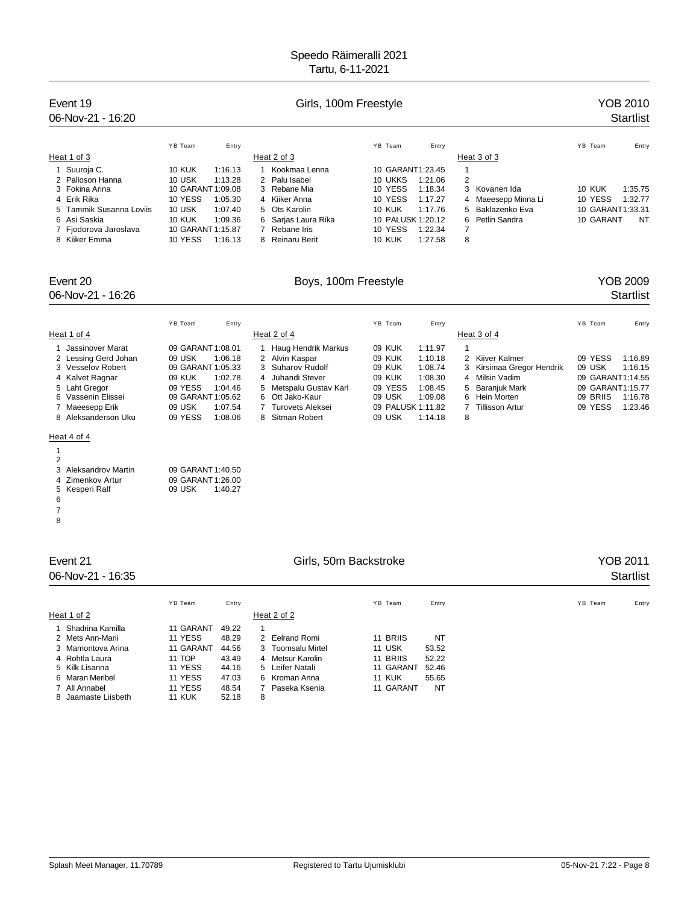# Speedo Räimeralli 2021

|                                                                                                                                                                                             |                                                                                                                                                                                                                 | Tartu, 6-11-2021                                                                                                                                                                                                                            |                                                                                                                                                                                                    |                                                                                                                                                                                      |                                                                                                                                                  |
|---------------------------------------------------------------------------------------------------------------------------------------------------------------------------------------------|-----------------------------------------------------------------------------------------------------------------------------------------------------------------------------------------------------------------|---------------------------------------------------------------------------------------------------------------------------------------------------------------------------------------------------------------------------------------------|----------------------------------------------------------------------------------------------------------------------------------------------------------------------------------------------------|--------------------------------------------------------------------------------------------------------------------------------------------------------------------------------------|--------------------------------------------------------------------------------------------------------------------------------------------------|
| Event 19<br>06-Nov-21 - 16:20                                                                                                                                                               |                                                                                                                                                                                                                 | Girls, 100m Freestyle                                                                                                                                                                                                                       |                                                                                                                                                                                                    |                                                                                                                                                                                      | YOB 2010<br><b>Startlist</b>                                                                                                                     |
| Heat 1 of 3<br>1 Suuroja C.<br>Palloson Hanna<br>2<br>3 Fokina Arina<br>4 Erik Rika<br>Tammik Susanna Loviis<br>5<br>Asi Saskia<br>6<br>7 Fjodorova Jaroslava<br>8 Kiiker Emma              | YB Team<br>Entry<br><b>10 KUK</b><br>1:16.13<br>10 USK<br>1:13.28<br>10 GARANT 1:09.08<br>10 YESS<br>1:05.30<br><b>10 USK</b><br>1:07.40<br><b>10 KUK</b><br>1:09.36<br>10 GARANT 1:15.87<br>10 YESS<br>1:16.13 | Heat 2 of 3<br>1 Kookmaa Lenna<br>Palu Isabel<br>2<br>3<br>Rebane Mia<br>$\overline{4}$<br>Kiiker Anna<br>Ots Karolin<br>5<br>Sarjas Laura Rika<br>6<br>Rebane Iris<br>7<br>Reinaru Berit<br>8                                              | YB Team<br>Entry<br>10 GARANT1:23.45<br>10 UKKS<br>1:21.06<br>10 YESS<br>1:18.34<br>10 YESS<br>1:17.27<br>10 KUK<br>1:17.76<br>10 PALUSK 1:20.12<br>10 YESS<br>1:22.34<br><b>10 KUK</b><br>1:27.58 | Heat 3 of 3<br>$\mathbf{1}$<br>2<br>3<br>Kovanen Ida<br>Maeesepp Minna Li<br>4<br>Baklazenko Eva<br>5<br>Petlin Sandra<br>6<br>7<br>8                                                | YB Team<br>Entry<br><b>10 KUK</b><br>1:35.75<br>10 YESS<br>1:32.77<br>10 GARANT1:33.31<br>10 GARANT<br>NT                                        |
| Event 20<br>06-Nov-21 - 16:26                                                                                                                                                               |                                                                                                                                                                                                                 | Boys, 100m Freestyle                                                                                                                                                                                                                        |                                                                                                                                                                                                    |                                                                                                                                                                                      | <b>YOB 2009</b><br>Startlist                                                                                                                     |
| Heat 1 of 4<br>Jassinover Marat<br>1<br>2 Lessing Gerd Johan<br>3 Vesselov Robert<br>4 Kalvet Ragnar<br>Laht Gregor<br>5<br>6 Vassenin Elissei<br>7 Maeesepp Erik<br>Aleksanderson Uku<br>8 | YB Team<br>Entry<br>09 GARANT 1:08.01<br>09 USK<br>1:06.18<br>09 GARANT 1:05.33<br><b>09 KUK</b><br>1:02.78<br>09 YESS<br>1:04.46<br>09 GARANT 1:05.62<br>09 USK<br>1:07.54<br>09 YESS<br>1:08.06               | Heat 2 of 4<br>Haug Hendrik Markus<br>$\mathbf{1}$<br>Alvin Kaspar<br>2<br>3<br>Suharov Rudolf<br>Juhandi Stever<br>4<br>Metspalu Gustav Karl<br>5<br>Ott Jako-Kaur<br>6<br><b>Turovets Aleksei</b><br>$\overline{7}$<br>Sitman Robert<br>8 | YB Team<br>Entry<br><b>09 KUK</b><br>1:11.97<br>09 KUK<br>1:10.18<br>09 KUK<br>1:08.74<br>09 KUK<br>1:08.30<br>09 YESS<br>1:08.45<br>09 USK<br>1:09.08<br>09 PALUSK 1:11.82<br>09 USK<br>1:14.18   | Heat 3 of 4<br>$\mathbf{1}$<br>2<br>Kiiver Kalmer<br>Kirsimaa Gregor Hendrik<br>3<br>4<br>Milsin Vadim<br>Baranjuk Mark<br>5<br>6<br>Hein Morten<br><b>Tillisson Artur</b><br>7<br>8 | YB Team<br>Entry<br>09 YESS<br>1:16.89<br>09 USK<br>1:16.15<br>09 GARANT1:14.55<br>09 GARANT1:15.77<br>09 BRIIS<br>1:16.78<br>09 YESS<br>1:23.46 |
| Heat 4 of 4<br>$\mathbf{1}$<br>$\overline{2}$<br>3<br><b>Aleksandrov Martin</b><br>Zimenkov Artur<br>4<br>5 Kesperi Ralf<br>6<br>$\overline{7}$<br>8                                        | 09 GARANT 1:40.50<br>09 GARANT 1:26.00<br>09 USK<br>1:40.27                                                                                                                                                     |                                                                                                                                                                                                                                             |                                                                                                                                                                                                    |                                                                                                                                                                                      |                                                                                                                                                  |
| Event 21<br>06-Nov-21 - 16:35                                                                                                                                                               |                                                                                                                                                                                                                 | Girls, 50m Backstroke                                                                                                                                                                                                                       |                                                                                                                                                                                                    |                                                                                                                                                                                      | <b>YOB 2011</b><br>Startlist                                                                                                                     |
| Heat 1 of 2<br>1 Shadrina Kamilla<br>2<br>Mets Ann-Marii                                                                                                                                    | YB Team<br>Entry<br>11 GARANT<br>49.22<br>11 YESS<br>48.29                                                                                                                                                      | Heat 2 of 2<br>1<br>$\overline{2}$<br><b>Eelrand Romi</b>                                                                                                                                                                                   | YB Team<br>Entry<br>11 BRIIS<br><b>NT</b>                                                                                                                                                          |                                                                                                                                                                                      | YB Team<br>Entry                                                                                                                                 |

8 Jaamaste Liisbeth

3 Mamontova Arina 11 GARANT 44.56 3 Toomsalu Mirtel 11 USK 53.52<br>1 Rohtla Laura 11 TOP 43.49 4 Metsur Karolin 11 BRIIS 52.22

11 YESS 44.16 5 Leifer Natali 11 OARANT 52.46<br>5 Kilk Lisanna 11 YESS 44.16 5 Leifer Natali 11 GARANT 52.46<br>6 Maran Meribel 11 YESS 47.03 6 Kroman Anna 11 KUK 55.65 6 Maran Meribel 11 YESS 47.03 6 Kroman Anna 11 KUK 55.65<br>11 YESS 48.54 7 Paseka Ksenia 11 GARANT NT<br>12 Maranaste Liisbeth 11 KUK 52.18 8

48.54 7 Paseka Ksenia<br>52.18 8

4 Rohtla Laura 11 TOP 43.49 4 Metsur Karolin<br>5 Kilk Lisanna 11 YESS 44.16 5 Leifer Natali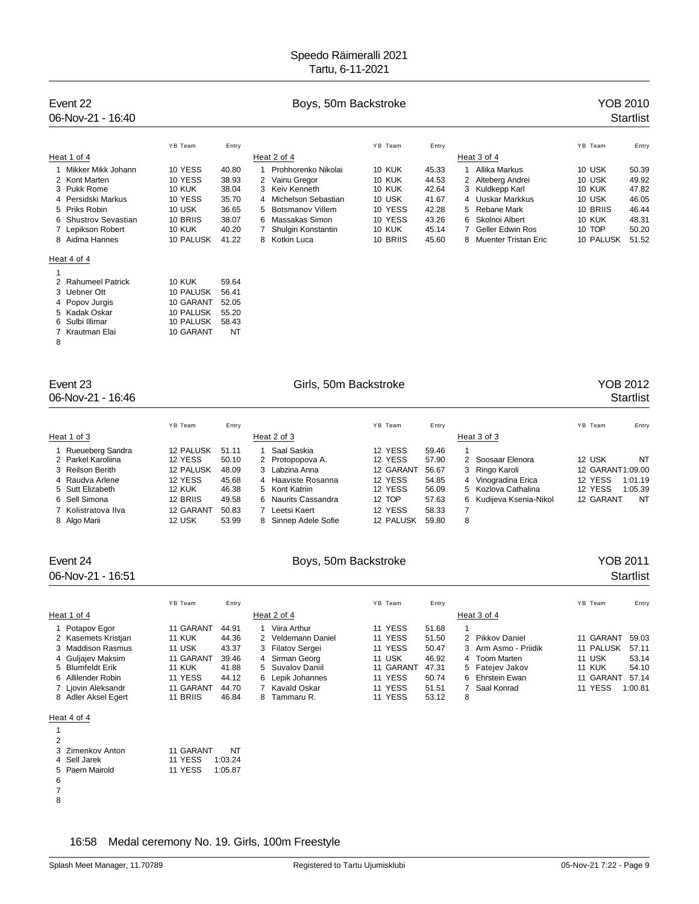# Event 22 **Boys, 50m Backstroke The Contract COB** 2010

# 06-Nov-21 - 16:40 Startlist

|                      | YB Team       | Entry |   |                       | YB Team       | Entry |                        | YB Team   | Entry |
|----------------------|---------------|-------|---|-----------------------|---------------|-------|------------------------|-----------|-------|
| Heat 1 of 4          |               |       |   | Heat 2 of 4           |               |       | Heat 3 of 4            |           |       |
| 1 Mikker Mikk Johann | 10 YESS       | 40.80 |   | Prohhorenko Nikolai   | <b>10 KUK</b> | 45.33 | Allika Markus          | 10 USK    | 50.39 |
| 2 Kont Marten        | 10 YESS       | 38.93 |   | 2 Vainu Gregor        | 10 KUK        | 44.53 | 2 Alteberg Andrei      | 10 USK    | 49.92 |
| 3 Pukk Rome          | <b>10 KUK</b> | 38.04 |   | 3 Keiv Kenneth        | <b>10 KUK</b> | 42.64 | 3 Kuldkepp Karl        | 10 KUK    | 47.82 |
| 4 Persidski Markus   | 10 YESS       | 35.70 |   | 4 Michelson Sebastian | 10 USK        | 41.67 | 4 Uuskar Markkus       | 10 USK    | 46.05 |
| 5 Priks Robin        | 10 USK        | 36.65 |   | 5 Botsmanov Villem    | 10 YESS       | 42.28 | 5 Rebane Mark          | 10 BRIIS  | 46.44 |
| 6 Shustrov Sevastian | 10 BRIIS      | 38.07 | 6 | Massakas Simon        | 10 YESS       | 43.26 | 6 Skolnoi Albert       | 10 KUK    | 48.31 |
| 7 Lepikson Robert    | <b>10 KUK</b> | 40.20 |   | Shulgin Konstantin    | 10 KUK        | 45.14 | 7 Geller Edwin Ros     | 10 TOP    | 50.20 |
| 8 Aidma Hannes       | 10 PALUSK     | 41.22 |   | 8 Kotkin Luca         | 10 BRIIS      | 45.60 | 8 Muenter Tristan Eric | 10 PALUSK | 51.52 |
| Heat 4 of 4          |               |       |   |                       |               |       |                        |           |       |
|                      |               |       |   |                       |               |       |                        |           |       |

| 2 Rahumeel Patrick | <b>10 KUK</b> | 59.64 |
|--------------------|---------------|-------|
| 3 Uebner Ott       | 10 PALUSK     | 56.41 |
| 4 Popov Jurgis     | 10 GARANT     | 52.05 |
| 5 Kadak Oskar      | 10 PALUSK     | 55.20 |
| 6 Sulbi Illimar    | 10 PALUSK     | 58.43 |
| 7 Krautman Elai    | 10 GARANT     | NT    |
|                    |               |       |

### 

# 06-Nov-21 - 16:46 Startlist

## Event 23 Girls, 50m Backstroke YOB 2012

|                     | YB Team          | Entry |   |                    | YB Team   | Entry |                         | YB Team          | Entry   |
|---------------------|------------------|-------|---|--------------------|-----------|-------|-------------------------|------------------|---------|
| Heat 1 of 3         |                  |       |   | Heat 2 of 3        |           |       | Heat 3 of 3             |                  |         |
| Rueueberg Sandra    | <b>12 PALUSK</b> | 51.11 |   | Saal Saskia        | 12 YESS   | 59.46 |                         |                  |         |
| 2 Parkel Karoliina  | 12 YESS          | 50.10 |   | 2 Protopopova A.   | 12 YESS   | 57.90 | 2 Soosaar Elenora       | 12 USK           | NT      |
| 3 Reilson Berith    | <b>12 PALUSK</b> | 48.09 |   | 3 Labzina Anna     | 12 GARANT | 56.67 | 3 Ringo Karoli          | 12 GARANT1:09.00 |         |
| 4 Raudva Arlene     | 12 YESS          | 45.68 | 4 | Haaviste Rosanna   | 12 YESS   | 54.85 | 4 Vinogradina Erica     | 12 YESS          | 1:01.19 |
| 5 Sutt Elizabeth    | <b>12 KUK</b>    | 46.38 |   | 5 Kont Katriin     | 12 YESS   | 56.09 | 5 Kozlova Cathalina     | 12 YESS          | 1:05.39 |
| 6 Sell Simona       | 12 BRIIS         | 49.58 | 6 | Naurits Cassandra  | 12 TOP    | 57.63 | 6 Kudijeva Ksenia-Nikol | 12 GARANT        | NT      |
| 7 Kolistratova Ilva | 12 GARANT        | 50.83 |   | Leetsi Kaert       | 12 YESS   | 58.33 |                         |                  |         |
| 8 Algo Marii        | 12 USK           | 53.99 | 8 | Sinnep Adele Sofie | 12 PALUSK | 59.80 | 8                       |                  |         |

# Event 24 **Boys, 50m Backstroke The Contract Contract Contract Properties Are Access** YOB 2011 06-Nov-21 - 16:51 Startlist

### YB Team Entry Entry Entry The YB Team Entry States of the States of the States of the States of the YB Team Entry Heat 1 of 4 Heat 2 of 4 Heat 2 of 4 Heat 3 of 4 Potapov Egor 11 GARANT 44.91 1 Viira Arthur 11 YESS 51.68 1 Kasemets Kristjan 11 KUK 44.36 2 Veldemann Daniel 11 YESS 51.50 2 Pikkov Daniel 11 GARANT 59.03 11 USK 13.37 3 Filatov Sergei 11 YESS 50.47 3 Arm Asmo - Priidik 11 PALUSK 57.11<br>11 GARANT 39.46 4 Sirman Georg 11 USK 146.92 4 Toom Marten 11 USK 53.14 4 Guljajev Maksim 11 GARANT 39.46 4 Sirman Georg 11 USK 46.92 4 Toom Marten 11 USK 53.14<br>5 Blumfeldt Erik 11 KUK 41.88 5 Suvalov Daniil 11 GARANT 47.31 5 Fatejev Jakov 11 KUK 54.10 Blumfeldt Erik 11 KUK 41.88 5 Suvalov Daniil 11 GARANT 47.31 5 Fatejev Jakov 11 KUK 54.10 Allilender Robin 11 YESS 44.12 6 Lepik Johannes 11 YESS 50.74 6 Ehrstein Ewan 11 GARANT 57.14 7 Ljovin Aleksandr 11 GARANT 44.70 7 Kavald Oskar 11 YESS 51.51 7 Saal Konrad 11 YESS 1:00.81<br>8 Adler Aksel Egert 11 BRIIS 46.84 8 Tammaru R. 11 YESS 53.12 8 Adler Aksel Egert 11 BRIIS 46.84 8 Tammaru R. 11 YESS 53.12 8

### Heat 4 of 4

| 2 |                  |           |         |
|---|------------------|-----------|---------|
|   | 3 Zimenkov Anton | 11 GARANT | NT      |
|   | 4 Sell Jarek     | 11 YESS   | 1:03.24 |
|   | 5 Paern Mairold  | 11 YESS   | 1:05.87 |
| 6 |                  |           |         |
|   |                  |           |         |
|   |                  |           |         |

16:58 Medal ceremony No. 19. Girls, 100m Freestyle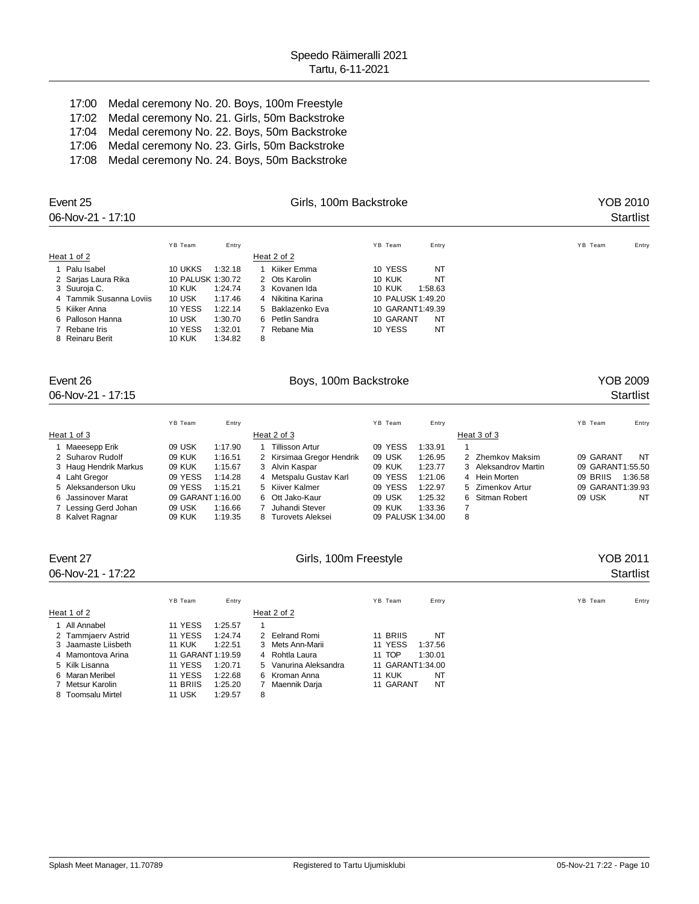17:00 Medal ceremony No. 20. Boys, 100m Freestyle 17:02 Medal ceremony No. 21. Girls, 50m Backstroke 17:04 Medal ceremony No. 22. Boys, 50m Backstroke 17:06 Medal ceremony No. 23. Girls, 50m Backstroke 17:08 Medal ceremony No. 24. Boys, 50m Backstroke

| Event 25<br>06-Nov-21 - 17:10 |                   |         |             | Girls, 100m Backstroke |               |                   |         | YOB 2010<br><b>Startlist</b> |
|-------------------------------|-------------------|---------|-------------|------------------------|---------------|-------------------|---------|------------------------------|
|                               | YB Team           | Entry   |             |                        | YB Team       | Entry             | YB Team | Entry                        |
| Heat 1 of 2                   |                   |         | Heat 2 of 2 |                        |               |                   |         |                              |
| 1 Palu Isabel                 | 10 UKKS           | 1:32.18 |             | Kiiker Emma            | 10 YESS       | NT                |         |                              |
| 2 Sarjas Laura Rika           | 10 PALUSK 1:30.72 |         |             | 2 Ots Karolin          | <b>10 KUK</b> | NT                |         |                              |
| 3 Suuroja C.                  | <b>10 KUK</b>     | 1:24.74 |             | 3 Kovanen Ida          | <b>10 KUK</b> | 1:58.63           |         |                              |
| 4 Tammik Susanna Loviis       | 10 USK            | 1:17.46 |             | 4 Nikitina Karina      |               | 10 PALUSK 1:49.20 |         |                              |
| 5 Kiiker Anna                 | 10 YESS           | 1:22.14 |             | 5 Baklazenko Eva       |               | 10 GARANT1:49.39  |         |                              |
| 6 Palloson Hanna              | 10 USK            | 1:30.70 |             | 6 Petlin Sandra        | 10 GARANT     | NT                |         |                              |
| 7 Rebane Iris                 | 10 YESS           | 1:32.01 |             | Rebane Mia             | 10 YESS       | NT                |         |                              |
| 8 Reinaru Berit               | <b>10 KUK</b>     | 1:34.82 | 8           |                        |               |                   |         |                              |

# Event 26 **Boys**, 100m Backstroke **Boys**, 100m Backstroke **Property** 26 **Property** 2009

06-Nov-21 - 17:15 Startlist

|                       | YB Team           | Entry   |   |                           | YB Team           | Entry   |   |                      | YB Team          | Entry   |
|-----------------------|-------------------|---------|---|---------------------------|-------------------|---------|---|----------------------|------------------|---------|
| Heat 1 of 3           |                   |         |   | Heat 2 of 3               |                   |         |   | Heat 3 of 3          |                  |         |
| Maeesepp Erik         | 09 USK            | 1:17.90 |   | Tillisson Artur           | 09 YESS           | 1:33.91 |   |                      |                  |         |
| 2 Suharov Rudolf      | 09 KUK            | 1:16.51 |   | 2 Kirsimaa Gregor Hendrik | 09 USK            | 1:26.95 |   | 2 Zhemkov Maksim     | 09 GARANT        | NT      |
| 3 Haug Hendrik Markus | 09 KUK            | 1:15.67 |   | 3 Alvin Kaspar            | 09 KUK            | 1:23.77 |   | 3 Aleksandrov Martin | 09 GARANT1:55.50 |         |
| 4 Laht Gregor         | 09 YESS           | 1:14.28 |   | 4 Metspalu Gustav Karl    | 09 YESS           | 1:21.06 |   | 4 Hein Morten        | 09 BRIIS         | 1:36.58 |
| 5 Aleksanderson Uku   | 09 YESS           | 1:15.21 |   | 5 Kiiver Kalmer           | 09 YESS           | 1:22.97 |   | 5 Zimenkov Artur     | 09 GARANT1:39.93 |         |
| 6 Jassinover Marat    | 09 GARANT 1:16.00 |         |   | 6 Ott Jako-Kaur           | 09 USK            | 1:25.32 |   | 6 Sitman Robert      | 09 USK           | NT      |
| 7 Lessing Gerd Johan  | 09 USK            | 1:16.66 |   | Juhandi Stever            | 09 KUK            | 1:33.36 |   |                      |                  |         |
| 8 Kalvet Ragnar       | 09 KUK            | 1:19.35 | 8 | Turovets Aleksei          | 09 PALUSK 1:34.00 |         | 8 |                      |                  |         |

| Event 27<br>06-Nov-21 - 17:22 |                          | YOB 2011<br><b>Startlist</b> |                     |                  |
|-------------------------------|--------------------------|------------------------------|---------------------|------------------|
|                               | YB Team<br>Entry         |                              | YB Team<br>Entry    | YB Team<br>Entry |
| Heat 1 of 2                   |                          | Heat 2 of 2                  |                     |                  |
| 1 All Annabel                 | 11 YESS<br>1:25.57       |                              |                     |                  |
| 2 Tammjaerv Astrid            | 11 YESS<br>1:24.74       | 2 Eelrand Romi               | 11 BRIIS<br>NT      |                  |
| 3 Jaamaste Liisbeth           | 1:22.51<br><b>11 KUK</b> | 3 Mets Ann-Marii             | 11 YESS<br>1:37.56  |                  |
| 4 Mamontova Arina             | 11 GARANT 1:19.59        | 4 Rohtla Laura               | 11 TOP<br>1:30.01   |                  |
| 5 Kilk Lisanna                | 11 YESS<br>1:20.71       | 5 Vanurina Aleksandra        | 11 GARANT1:34.00    |                  |
| 6 Maran Meribel               | 11 YESS<br>1:22.68       | 6 Kroman Anna                | NT<br><b>11 KUK</b> |                  |
| 7 Metsur Karolin              | 11 BRIIS<br>1:25.20      | Maennik Darja                | 11 GARANT<br>NT     |                  |
| 8 Toomsalu Mirtel             | 11 USK<br>1:29.57        | 8                            |                     |                  |